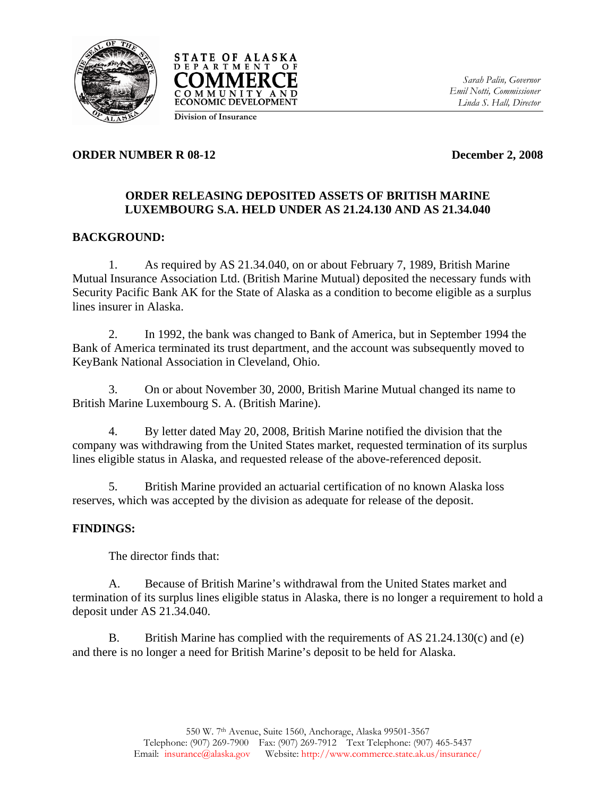



*Sarah Palin, Governor Emil Notti, Commissioner Linda S. Hall, Director* 

#### **Division of Insurance**

### **ORDER NUMBER R 08-12** December 2, 2008

# **ORDER RELEASING DEPOSITED ASSETS OF BRITISH MARINE LUXEMBOURG S.A. HELD UNDER AS 21.24.130 AND AS 21.34.040**

# **BACKGROUND:**

1. As required by AS 21.34.040, on or about February 7, 1989, British Marine Mutual Insurance Association Ltd. (British Marine Mutual) deposited the necessary funds with Security Pacific Bank AK for the State of Alaska as a condition to become eligible as a surplus lines insurer in Alaska.

2. In 1992, the bank was changed to Bank of America, but in September 1994 the Bank of America terminated its trust department, and the account was subsequently moved to KeyBank National Association in Cleveland, Ohio.

3. On or about November 30, 2000, British Marine Mutual changed its name to British Marine Luxembourg S. A. (British Marine).

4. By letter dated May 20, 2008, British Marine notified the division that the company was withdrawing from the United States market, requested termination of its surplus lines eligible status in Alaska, and requested release of the above-referenced deposit.

 5. British Marine provided an actuarial certification of no known Alaska loss reserves, which was accepted by the division as adequate for release of the deposit.

## **FINDINGS:**

The director finds that:

 A. Because of British Marine's withdrawal from the United States market and termination of its surplus lines eligible status in Alaska, there is no longer a requirement to hold a deposit under AS 21.34.040.

B. British Marine has complied with the requirements of AS 21.24.130(c) and (e) and there is no longer a need for British Marine's deposit to be held for Alaska.